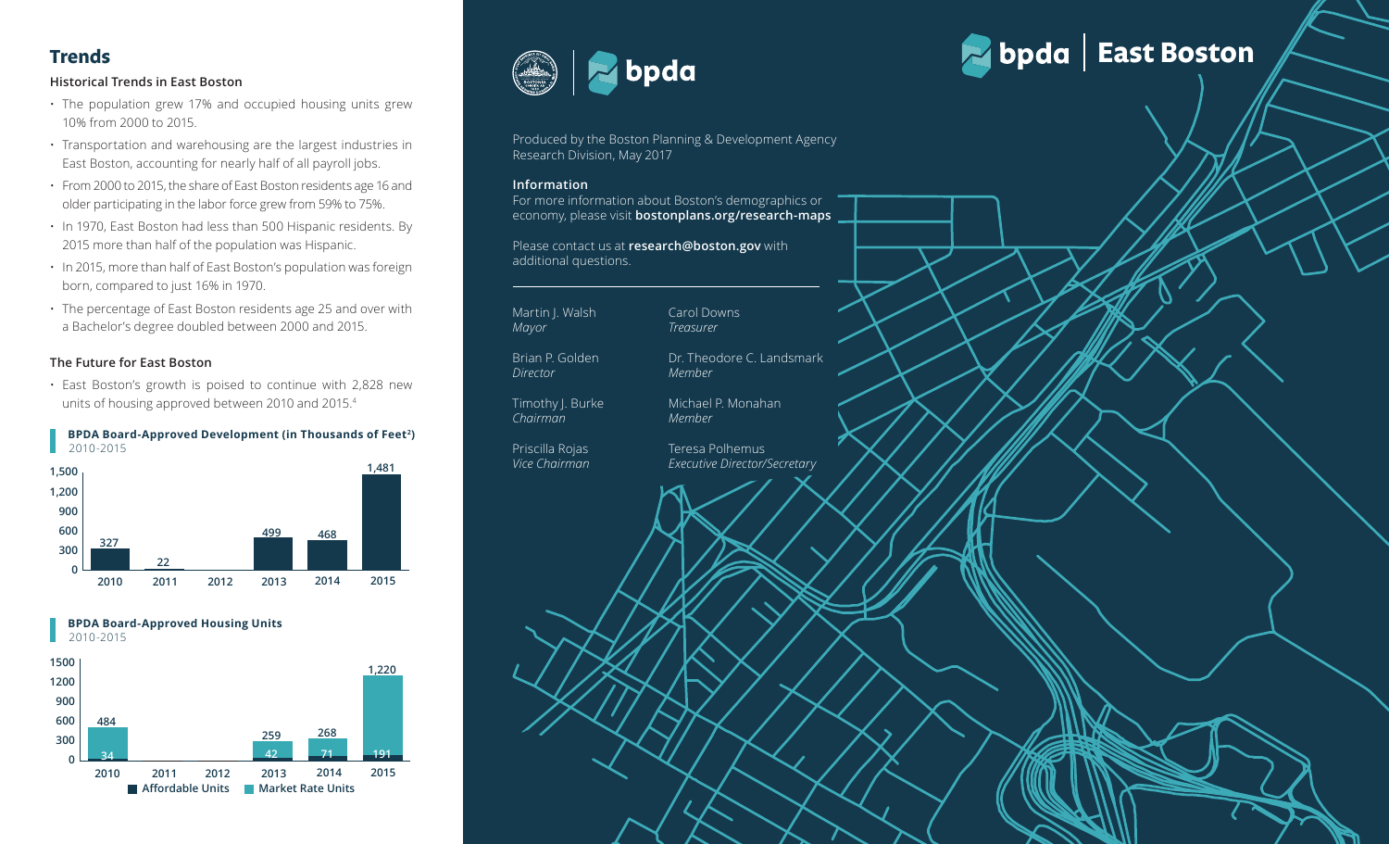# **Historical Trends in East Boston**

- The population grew 17% and occupied housing units grew 10% from 2000 to 2015.
- Transportation and warehousing are the largest industries in East Boston, accounting for nearly half of all payroll jobs.
- From 2000 to 2015, the share of East Boston residents age 16 and older participating in the labor force grew from 59% to 75%.
- In 1970, East Boston had less than 500 Hispanic residents. By 2015 more than half of the population was Hispanic.
- **58% 30% 12%** born, compared to just 16% in 1970. • In 2015, more than half of East Boston's population was foreign
- 2015, more than half of East Boston's population was foreign<br>
prn, compared to just 16% in 1970.<br>
The percentage of East Boston residents age 25 and over with<br>
Bachelor's degree doubled between 2000 and 2015.<br> **Future for** orn, compared to just 16% in 1970.<br>
the percentage of East Boston residents age 25 and over with<br>
Bachelor's degree doubled between 2000 and 2015.<br> **Puture for East Boston**<br>
ast Boston's growth is poised to continue with 2 **58% 30% 12%** • The percentage of East Boston residents age 25 and over with a Bachelor's degree doubled between 2000 and 2015.

# **48% 37% 15% The Future for East Boston**

units of housing approved between 2010 and 2015.<sup>4</sup> • East Boston's growth is poised to continue with 2,828 new

## **BPDA Board-Approved Development (in Thousands of Feet 2 )** 2010-2015



 **BPDA Board-Approved Housing Units**





Produced by the Boston Planning & Development Agency Research Division, May 2017

## **Information**

For more information about Boston's demographics or economy, please visit **bostonplans.org/research-maps**

Please contact us at **research@boston.gov** with additional questions.

Martin J. Walsh *Mayor*

Brian P. Golden *Director*

Timothy J. Burke *Chairman*

Priscilla Rojas *Vice Chairman*  *Member*

Michael P. Monahan

Dr. Theodore C. Landsmark

Teresa Polhemus *Executive Director/Secretary*

*Member*

Carol Downs *Treasurer*

# Trends<br>
Historical Trends in East Boston<br>
Nationical Trends in East Boston